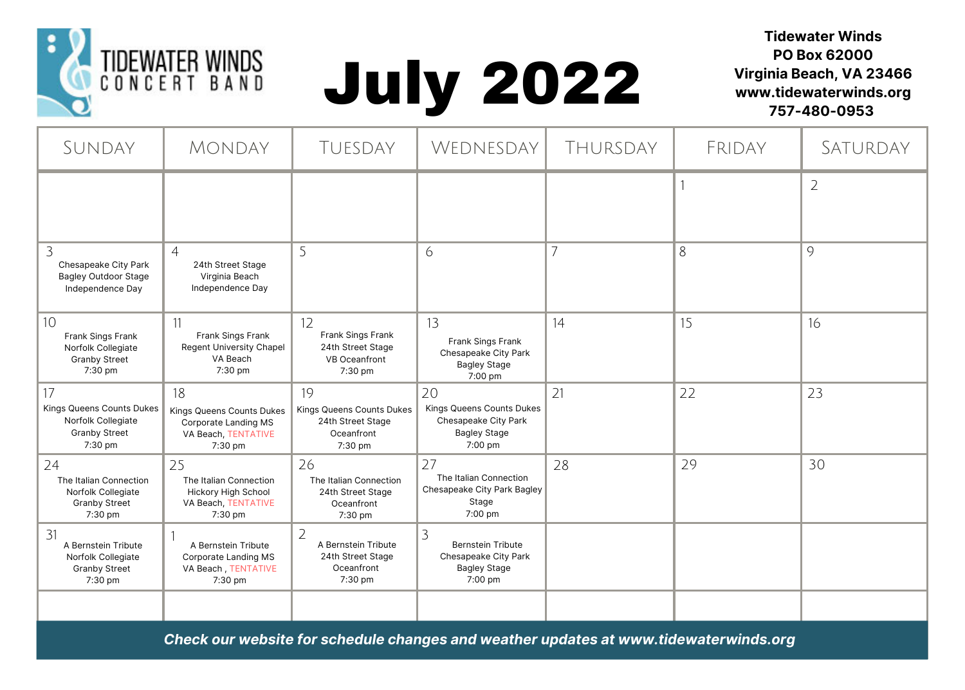

## July 2022

**Tidewater Winds PO Box 62000 Virginia Beach, VA 23466 www.tidewaterwinds.org 757-480-0953**

| SUNDAY                                                                                   | <b>MONDAY</b>                                                                                | TUESDAY                                                                                       | WEDNESDAY                                                                                 | THURSDAY | FRIDAY | SATURDAY       |
|------------------------------------------------------------------------------------------|----------------------------------------------------------------------------------------------|-----------------------------------------------------------------------------------------------|-------------------------------------------------------------------------------------------|----------|--------|----------------|
|                                                                                          |                                                                                              |                                                                                               |                                                                                           |          |        | $\overline{2}$ |
| 3<br>Chesapeake City Park<br><b>Bagley Outdoor Stage</b><br>Independence Day             | $\overline{4}$<br>24th Street Stage<br>Virginia Beach<br>Independence Day                    | 5                                                                                             | 6                                                                                         |          | 8      | 9              |
| 10<br>Frank Sings Frank<br>Norfolk Collegiate<br><b>Granby Street</b><br>7:30 pm         | 11<br>Frank Sings Frank<br>Regent University Chapel<br>VA Beach<br>7:30 pm                   | 12<br>Frank Sings Frank<br>24th Street Stage<br>VB Oceanfront<br>7:30 pm                      | 13<br>Frank Sings Frank<br>Chesapeake City Park<br><b>Bagley Stage</b><br>7:00 pm         | 14       | 15     | 16             |
| 17<br>Kings Queens Counts Dukes<br>Norfolk Collegiate<br><b>Granby Street</b><br>7:30 pm | 18<br>Kings Queens Counts Dukes<br>Corporate Landing MS<br>VA Beach, TENTATIVE<br>7:30 pm    | 19<br>Kings Queens Counts Dukes<br>24th Street Stage<br>Oceanfront<br>7:30 pm                 | 20<br>Kings Queens Counts Dukes<br>Chesapeake City Park<br><b>Bagley Stage</b><br>7:00 pm | 21       | 22     | 23             |
| 24<br>The Italian Connection<br>Norfolk Collegiate<br><b>Granby Street</b><br>7:30 pm    | 25<br>The Italian Connection<br><b>Hickory High School</b><br>VA Beach, TENTATIVE<br>7:30 pm | 26<br>The Italian Connection<br>24th Street Stage<br>Oceanfront<br>7:30 pm                    | 27<br>The Italian Connection<br>Chesapeake City Park Bagley<br>Stage<br>7:00 pm           | 28       | 29     | 30             |
| 31<br>A Bernstein Tribute<br>Norfolk Collegiate<br><b>Granby Street</b><br>7:30 pm       | A Bernstein Tribute<br>Corporate Landing MS<br>VA Beach, TENTATIVE<br>7:30 pm                | $\overline{\phantom{a}}$<br>A Bernstein Tribute<br>24th Street Stage<br>Oceanfront<br>7:30 pm | 3<br><b>Bernstein Tribute</b><br>Chesapeake City Park<br><b>Bagley Stage</b><br>7:00 pm   |          |        |                |
|                                                                                          |                                                                                              |                                                                                               |                                                                                           |          |        |                |

*Check our website for schedule changes and weather updates at www.tidewaterwinds.org*